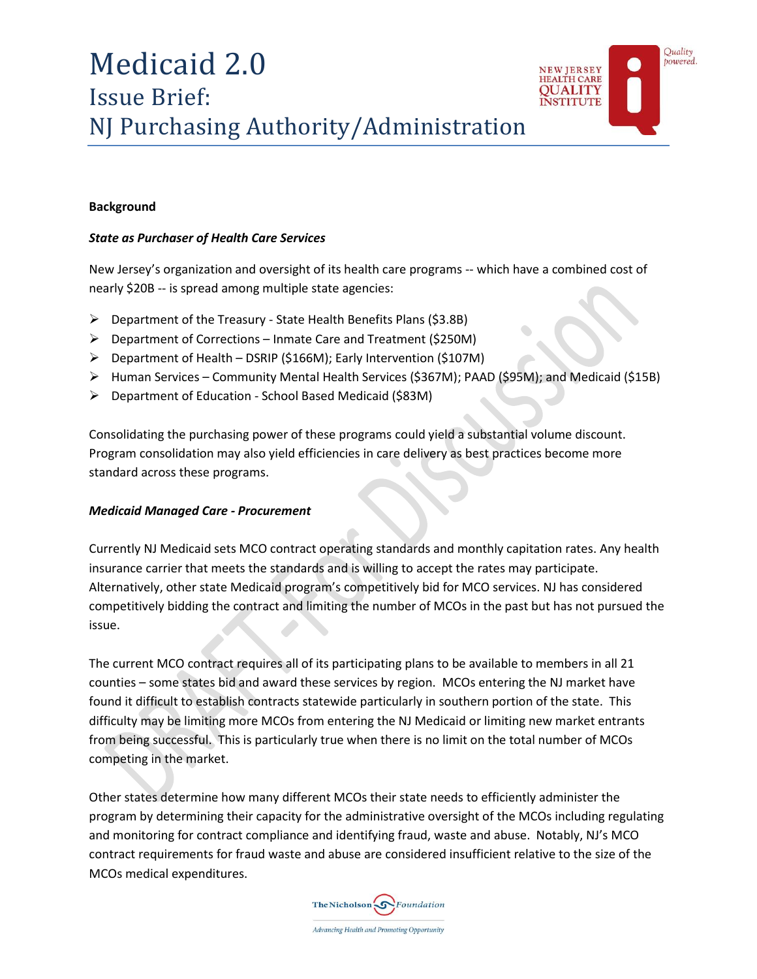

## **Background**

## *State as Purchaser of Health Care Services*

New Jersey's organization and oversight of its health care programs -- which have a combined cost of nearly \$20B -- is spread among multiple state agencies:

- $\triangleright$  Department of the Treasury State Health Benefits Plans (\$3.8B)
- Department of Corrections Inmate Care and Treatment (\$250M)
- $\triangleright$  Department of Health DSRIP (\$166M); Early Intervention (\$107M)
- $\triangleright$  Human Services Community Mental Health Services (\$367M); PAAD (\$95M); and Medicaid (\$15B)
- Department of Education School Based Medicaid (\$83M)

Consolidating the purchasing power of these programs could yield a substantial volume discount. Program consolidation may also yield efficiencies in care delivery as best practices become more standard across these programs.

#### *Medicaid Managed Care - Procurement*

Currently NJ Medicaid sets MCO contract operating standards and monthly capitation rates. Any health insurance carrier that meets the standards and is willing to accept the rates may participate. Alternatively, other state Medicaid program's competitively bid for MCO services. NJ has considered competitively bidding the contract and limiting the number of MCOs in the past but has not pursued the issue.

The current MCO contract requires all of its participating plans to be available to members in all 21 counties – some states bid and award these services by region. MCOs entering the NJ market have found it difficult to establish contracts statewide particularly in southern portion of the state. This difficulty may be limiting more MCOs from entering the NJ Medicaid or limiting new market entrants from being successful. This is particularly true when there is no limit on the total number of MCOs competing in the market.

Other states determine how many different MCOs their state needs to efficiently administer the program by determining their capacity for the administrative oversight of the MCOs including regulating and monitoring for contract compliance and identifying fraud, waste and abuse. Notably, NJ's MCO contract requirements for fraud waste and abuse are considered insufficient relative to the size of the MCOs medical expenditures.

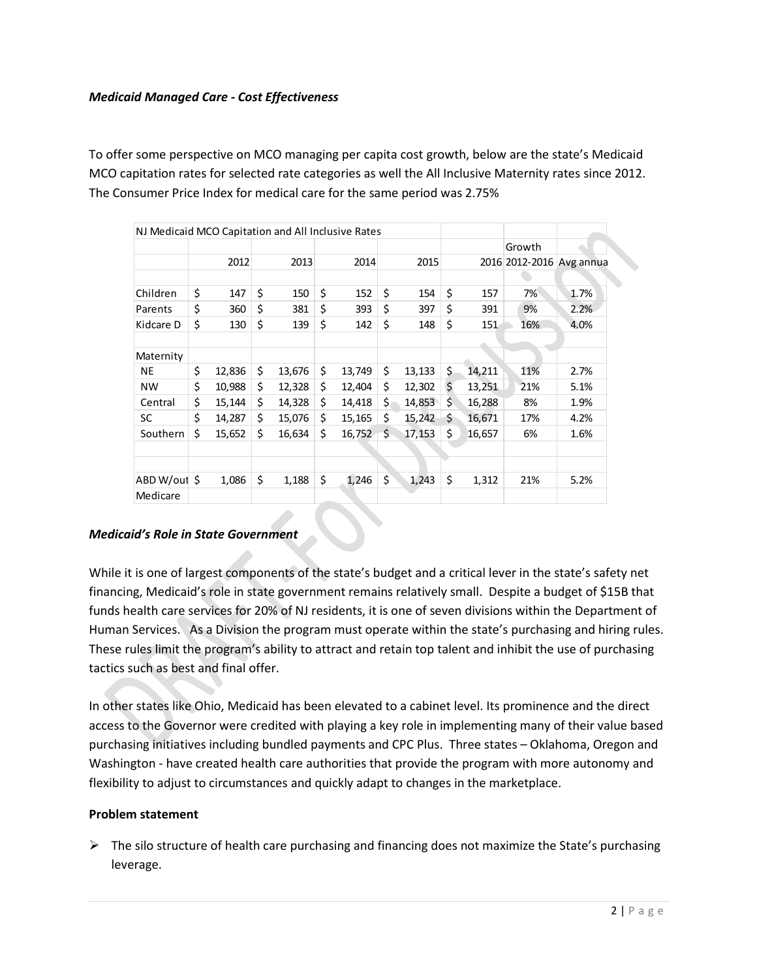## *Medicaid Managed Care - Cost Effectiveness*

To offer some perspective on MCO managing per capita cost growth, below are the state's Medicaid MCO capitation rates for selected rate categories as well the All Inclusive Maternity rates since 2012. The Consumer Price Index for medical care for the same period was 2.75%

| NJ Medicaid MCO Capitation and All Inclusive Rates |              |    |        |              |     |        |    |        |        |                          |
|----------------------------------------------------|--------------|----|--------|--------------|-----|--------|----|--------|--------|--------------------------|
|                                                    |              |    |        |              |     |        |    |        | Growth |                          |
|                                                    | 2012         |    | 2013   | 2014         |     | 2015   |    |        |        | 2016 2012-2016 Avg annua |
|                                                    |              |    |        |              |     |        |    |        |        |                          |
| Children                                           | \$<br>147    | \$ | 150    | \$<br>152    | \$  | 154    | \$ | 157    | 7%     | 1.7%                     |
| Parents                                            | \$<br>360    | \$ | 381    | \$<br>393    | \$  | 397    | \$ | 391    | 9%     | 2.2%                     |
| Kidcare D                                          | \$<br>130    | \$ | 139    | \$<br>142    | \$  | 148    | \$ | 151    | 16%    | 4.0%                     |
| Maternity                                          |              |    |        |              |     |        |    |        |        |                          |
| <b>NE</b>                                          | \$<br>12,836 | \$ | 13,676 | \$<br>13,749 | \$  | 13,133 | \$ | 14,211 | 11%    | 2.7%                     |
| <b>NW</b>                                          | \$<br>10,988 | \$ | 12,328 | \$<br>12,404 | \$  | 12,302 | Ś. | 13,251 | 21%    | 5.1%                     |
| Central                                            | \$<br>15,144 | Ś. | 14,328 | \$<br>14,418 | \$. | 14,853 | \$ | 16,288 | 8%     | 1.9%                     |
| <b>SC</b>                                          | \$<br>14,287 | \$ | 15,076 | \$<br>15,165 | \$  | 15,242 | Ś. | 16,671 | 17%    | 4.2%                     |
| Southern                                           | \$<br>15,652 | \$ | 16,634 | \$<br>16,752 | \$  | 17,153 | \$ | 16,657 | 6%     | 1.6%                     |
|                                                    |              |    |        |              |     |        |    |        |        |                          |
| ABD W/out \$                                       | 1,086        | \$ | 1,188  | \$<br>1,246  | \$  | 1,243  | \$ | 1,312  | 21%    | 5.2%                     |
| Medicare                                           |              |    |        |              |     |        |    |        |        |                          |

## *Medicaid's Role in State Government*

While it is one of largest components of the state's budget and a critical lever in the state's safety net financing, Medicaid's role in state government remains relatively small. Despite a budget of \$15B that funds health care services for 20% of NJ residents, it is one of seven divisions within the Department of Human Services. As a Division the program must operate within the state's purchasing and hiring rules. These rules limit the program's ability to attract and retain top talent and inhibit the use of purchasing tactics such as best and final offer.

In other states like Ohio, Medicaid has been elevated to a cabinet level. Its prominence and the direct access to the Governor were credited with playing a key role in implementing many of their value based purchasing initiatives including bundled payments and CPC Plus. Three states – Oklahoma, Oregon and Washington - have created health care authorities that provide the program with more autonomy and flexibility to adjust to circumstances and quickly adapt to changes in the marketplace.

#### **Problem statement**

 $\triangleright$  The silo structure of health care purchasing and financing does not maximize the State's purchasing leverage.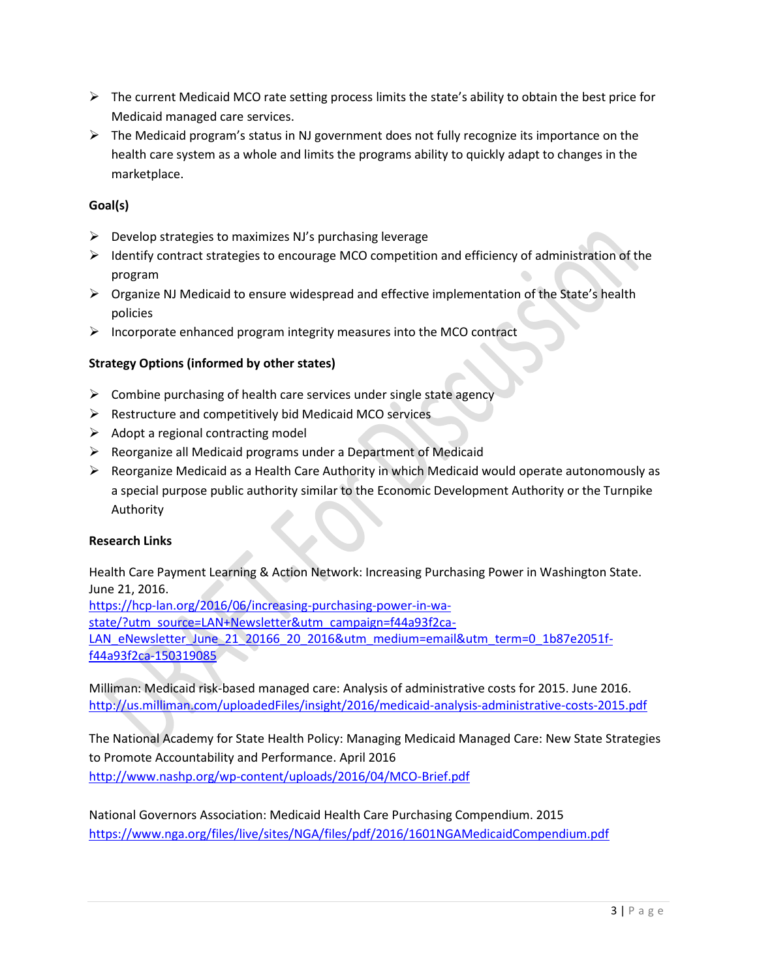- $\triangleright$  The current Medicaid MCO rate setting process limits the state's ability to obtain the best price for Medicaid managed care services.
- $\triangleright$  The Medicaid program's status in NJ government does not fully recognize its importance on the health care system as a whole and limits the programs ability to quickly adapt to changes in the marketplace.

# **Goal(s)**

- $\triangleright$  Develop strategies to maximizes NJ's purchasing leverage
- $\triangleright$  Identify contract strategies to encourage MCO competition and efficiency of administration of the program
- $\triangleright$  Organize NJ Medicaid to ensure widespread and effective implementation of the State's health policies
- $\triangleright$  Incorporate enhanced program integrity measures into the MCO contract

# **Strategy Options (informed by other states)**

- $\triangleright$  Combine purchasing of health care services under single state agency
- $\triangleright$  Restructure and competitively bid Medicaid MCO services
- $\triangleright$  Adopt a regional contracting model
- $\triangleright$  Reorganize all Medicaid programs under a Department of Medicaid
- $\triangleright$  Reorganize Medicaid as a Health Care Authority in which Medicaid would operate autonomously as a special purpose public authority similar to the Economic Development Authority or the Turnpike Authority

## **Research Links**

Health Care Payment Learning & Action Network: Increasing Purchasing Power in Washington State. June 21, 2016.

[https://hcp-lan.org/2016/06/increasing-purchasing-power-in-wa-](https://hcp-lan.org/2016/06/increasing-purchasing-power-in-wa-state/?utm_source=LAN+Newsletter&utm_campaign=f44a93f2ca-LAN_eNewsletter_June_21_20166_20_2016&utm_medium=email&utm_term=0_1b87e2051f-f44a93f2ca-150319085)

[state/?utm\\_source=LAN+Newsletter&utm\\_campaign=f44a93f2ca-](https://hcp-lan.org/2016/06/increasing-purchasing-power-in-wa-state/?utm_source=LAN+Newsletter&utm_campaign=f44a93f2ca-LAN_eNewsletter_June_21_20166_20_2016&utm_medium=email&utm_term=0_1b87e2051f-f44a93f2ca-150319085)

[LAN\\_eNewsletter\\_June\\_21\\_20166\\_20\\_2016&utm\\_medium=email&utm\\_term=0\\_1b87e2051f](https://hcp-lan.org/2016/06/increasing-purchasing-power-in-wa-state/?utm_source=LAN+Newsletter&utm_campaign=f44a93f2ca-LAN_eNewsletter_June_21_20166_20_2016&utm_medium=email&utm_term=0_1b87e2051f-f44a93f2ca-150319085)[f44a93f2ca-150319085](https://hcp-lan.org/2016/06/increasing-purchasing-power-in-wa-state/?utm_source=LAN+Newsletter&utm_campaign=f44a93f2ca-LAN_eNewsletter_June_21_20166_20_2016&utm_medium=email&utm_term=0_1b87e2051f-f44a93f2ca-150319085)

Milliman: Medicaid risk-based managed care: Analysis of administrative costs for 2015. June 2016. <http://us.milliman.com/uploadedFiles/insight/2016/medicaid-analysis-administrative-costs-2015.pdf>

The National Academy for State Health Policy: Managing Medicaid Managed Care: New State Strategies to Promote Accountability and Performance. April 2016 <http://www.nashp.org/wp-content/uploads/2016/04/MCO-Brief.pdf>

National Governors Association: Medicaid Health Care Purchasing Compendium. 2015 <https://www.nga.org/files/live/sites/NGA/files/pdf/2016/1601NGAMedicaidCompendium.pdf>